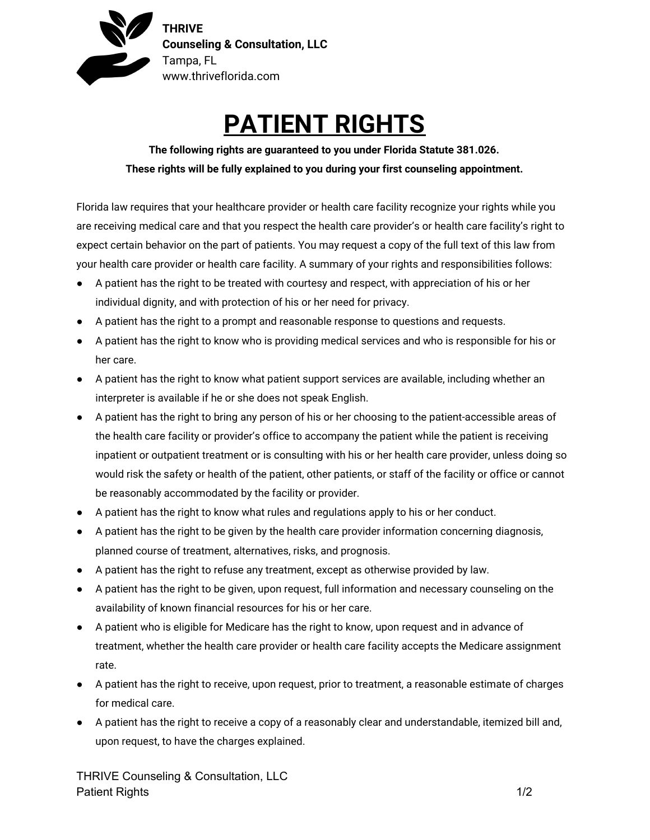

## **PATIENT RIGHTS**

**The following rights are guaranteed to you under Florida Statute 381.026. These rights will be fully explained to you during your first counseling appointment.**

Florida law requires that your healthcare provider or health care facility recognize your rights while you are receiving medical care and that you respect the health care provider's or health care facility's right to expect certain behavior on the part of patients. You may request a copy of the full text of this law from your health care provider or health care facility. A summary of your rights and responsibilities follows:

- A patient has the right to be treated with courtesy and respect, with appreciation of his or her individual dignity, and with protection of his or her need for privacy.
- A patient has the right to a prompt and reasonable response to questions and requests.
- A patient has the right to know who is providing medical services and who is responsible for his or her care.
- A patient has the right to know what patient support services are available, including whether an interpreter is available if he or she does not speak English.
- A patient has the right to bring any person of his or her choosing to the patient-accessible areas of the health care facility or provider's office to accompany the patient while the patient is receiving inpatient or outpatient treatment or is consulting with his or her health care provider, unless doing so would risk the safety or health of the patient, other patients, or staff of the facility or office or cannot be reasonably accommodated by the facility or provider.
- A patient has the right to know what rules and regulations apply to his or her conduct.
- A patient has the right to be given by the health care provider information concerning diagnosis, planned course of treatment, alternatives, risks, and prognosis.
- A patient has the right to refuse any treatment, except as otherwise provided by law.
- A patient has the right to be given, upon request, full information and necessary counseling on the availability of known financial resources for his or her care.
- A patient who is eligible for Medicare has the right to know, upon request and in advance of treatment, whether the health care provider or health care facility accepts the Medicare assignment rate.
- A patient has the right to receive, upon request, prior to treatment, a reasonable estimate of charges for medical care.
- A patient has the right to receive a copy of a reasonably clear and understandable, itemized bill and, upon request, to have the charges explained.

THRIVE Counseling & Consultation, LLC Patient Rights 1/2